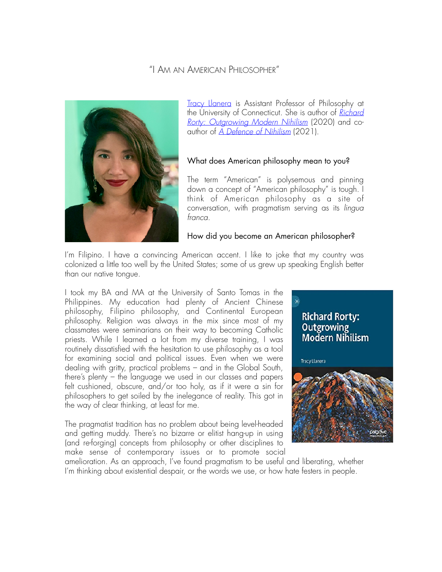# "I AM AN AMERICAN PHILOSOPHER"



[Tracy Llanera](https://tracyllanera.com) is Assistant Professor of Philosophy at the University of Connecticut. She is author of *[Richard](https://link.springer.com/book/10.1007/978-3-030-45058-8#about)  [Rorty: Outgrowing Modern Nihilism](https://link.springer.com/book/10.1007/978-3-030-45058-8#about)* (2020) and coauthor of *[A Defence of Nihilism](https://www.routledge.com/A-Defence-of-Nihilism/Tartaglia-Llanera/p/book/9780367230166)* (2021).

### What does American philosophy mean to you?

The term "American" is polysemous and pinning down a concept of "American philosophy" is tough. I think of American philosophy as a site of conversation, with pragmatism serving as its *lingua franca*.

#### How did you become an American philosopher?

I'm Filipino. I have a convincing American accent. I like to joke that my country was colonized a little too well by the United States; some of us grew up speaking English better than our native tongue.

I took my BA and MA at the University of Santo Tomas in the Philippines. My education had plenty of Ancient Chinese philosophy, Filipino philosophy, and Continental European philosophy. Religion was always in the mix since most of my classmates were seminarians on their way to becoming Catholic priests. While I learned a lot from my diverse training, I was routinely dissatisfied with the hesitation to use philosophy as a tool for examining social and political issues. Even when we were dealing with gritty, practical problems – and in the Global South, there's plenty – the language we used in our classes and papers felt cushioned, obscure, and/or too holy, as if it were a sin for philosophers to get soiled by the inelegance of reality. This got in the way of clear thinking, at least for me.

The pragmatist tradition has no problem about being level-headed and getting muddy. There's no bizarre or elitist hang-up in using (and re-forging) concepts from philosophy or other disciplines to make sense of contemporary issues or to promote social



amelioration. As an approach, I've found pragmatism to be useful and liberating, whether I'm thinking about existential despair, or the words we use, or how hate festers in people.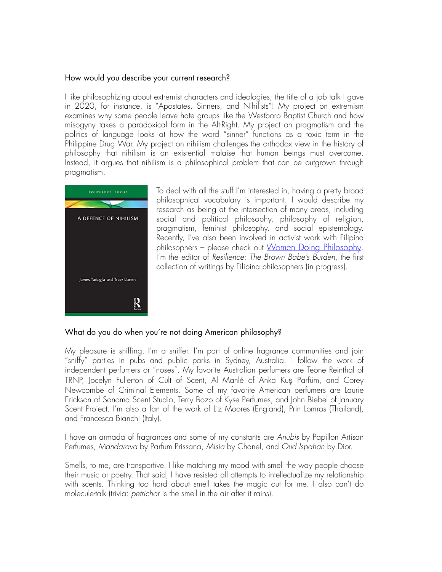## How would you describe your current research?

I like philosophizing about extremist characters and ideologies; the title of a job talk I gave in 2020, for instance, is "Apostates, Sinners, and Nihilists"! My project on extremism examines why some people leave hate groups like the Westboro Baptist Church and how misogyny takes a paradoxical form in the Alt-Right. My project on pragmatism and the politics of language looks at how the word "sinner" functions as a toxic term in the Philippine Drug War. My project on nihilism challenges the orthodox view in the history of philosophy that nihilism is an existential malaise that human beings must overcome. Instead, it argues that nihilism is a philosophical problem that can be outgrown through pragmatism.



To deal with all the stuff I'm interested in, having a pretty broad philosophical vocabulary is important. I would describe my research as being at the intersection of many areas, including social and political philosophy, philosophy of religion, pragmatism, feminist philosophy, and social epistemology. Recently, I've also been involved in activist work with Filipina philosophers - please check out [Women Doing Philosophy.](https://www.facebook.com/womendoingphilosophy/) I'm the editor of *Resilience: The Brown Babe's Burden*, the first collection of writings by Filipina philosophers (in progress).

### What do you do when you're not doing American philosophy?

My pleasure is sniffing. I'm a sniffer. I'm part of online fragrance communities and join "sniffy" parties in pubs and public parks in Sydney, Australia. I follow the work of independent perfumers or "noses". My favorite Australian perfumers are Teone Reinthal of TRNP, Jocelyn Fullerton of Cult of Scent, Al Manlé of Anka Kuş Parfüm, and Corey Newcombe of Criminal Elements. Some of my favorite American perfumers are Laurie Erickson of Sonoma Scent Studio, Terry Bozo of Kyse Perfumes, and John Biebel of January Scent Project. I'm also a fan of the work of Liz Moores (England), Prin Lomros (Thailand), and Francesca Bianchi (Italy).

I have an armada of fragrances and some of my constants are *Anubis* by Papillon Artisan Perfumes, *Mandarava* by Parfum Prissana, *Misia* by Chanel, and *Oud Ispahan* by Dior.

Smells, to me, are transportive. I like matching my mood with smell the way people choose their music or poetry. That said, I have resisted all attempts to intellectualize my relationship with scents. Thinking too hard about smell takes the magic out for me. I also can't do molecule-talk (trivia: *petrichor* is the smell in the air after it rains).